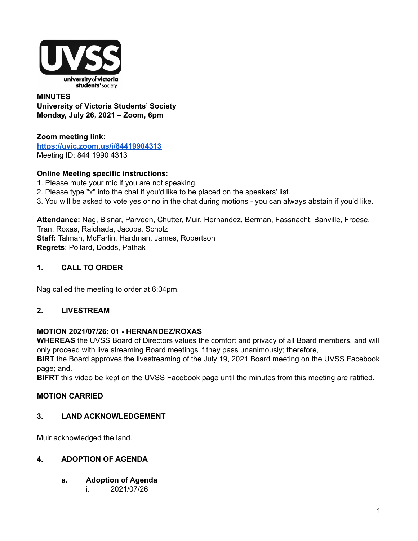

#### **MINUTES University of Victoria Students' Society Monday, July 26, 2021 – Zoom, 6pm**

**Zoom meeting link: <https://uvic.zoom.us/j/84419904313>** Meeting ID: 844 1990 4313

## **Online Meeting specific instructions:**

- 1. Please mute your mic if you are not speaking.
- 2. Please type "x" into the chat if you'd like to be placed on the speakers' list.
- 3. You will be asked to vote yes or no in the chat during motions you can always abstain if you'd like.

**Attendance:** Nag, Bisnar, Parveen, Chutter, Muir, Hernandez, Berman, Fassnacht, Banville, Froese, Tran, Roxas, Raichada, Jacobs, Scholz **Staff:** Talman, McFarlin, Hardman, James, Robertson **Regrets**: Pollard, Dodds, Pathak

## **1. CALL TO ORDER**

Nag called the meeting to order at 6:04pm.

#### **2. LIVESTREAM**

#### **MOTION 2021/07/26: 01 - HERNANDEZ/ROXAS**

**WHEREAS** the UVSS Board of Directors values the comfort and privacy of all Board members, and will only proceed with live streaming Board meetings if they pass unanimously; therefore,

**BIRT** the Board approves the livestreaming of the July 19, 2021 Board meeting on the UVSS Facebook page; and,

**BIFRT** this video be kept on the UVSS Facebook page until the minutes from this meeting are ratified.

#### **MOTION CARRIED**

#### **3. LAND ACKNOWLEDGEMENT**

Muir acknowledged the land.

### **4. ADOPTION OF AGENDA**

- **a. Adoption of Agenda**
	- i. 2021/07/26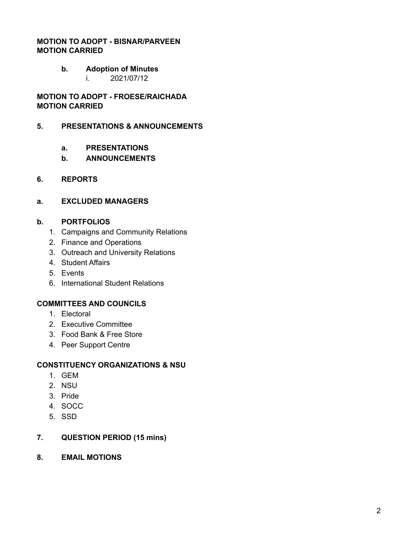### **MOTION TO ADOPT - BISNAR/PARVEEN MOTION CARRIED**

#### **b. Adoption of Minutes**

i. 2021/07/12

**MOTION TO ADOPT - FROESE/RAICHADA MOTION CARRIED**

#### **5. PRESENTATIONS & ANNOUNCEMENTS**

- **a. PRESENTATIONS**
- **b. ANNOUNCEMENTS**

#### **6. REPORTS**

#### **a. EXCLUDED MANAGERS**

#### **b. PORTFOLIOS**

- 1. Campaigns and Community Relations
- 2. Finance and Operations
- 3. Outreach and University Relations
- 4. Student Affairs
- 5. Events
- 6. International Student Relations

#### **COMMITTEES AND COUNCILS**

- 1. Electoral
- 2. Executive Committee
- 3. Food Bank & Free Store
- 4. Peer Support Centre

#### **CONSTITUENCY ORGANIZATIONS & NSU**

- 1. GEM
- 2. NSU
- 3. Pride
- 4. SOCC
- 5. SSD

#### **7. QUESTION PERIOD (15 mins)**

**8. EMAIL MOTIONS**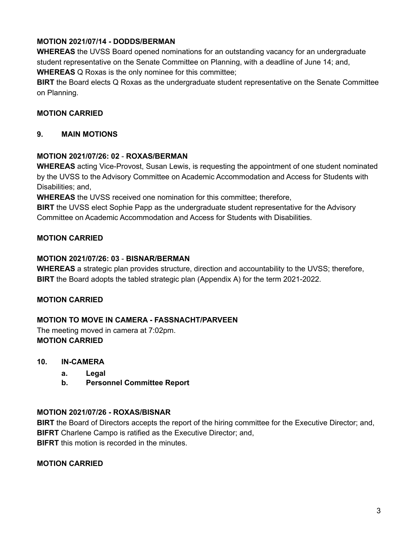# **MOTION 2021/07/14 - DODDS/BERMAN**

**WHEREAS** the UVSS Board opened nominations for an outstanding vacancy for an undergraduate student representative on the Senate Committee on Planning, with a deadline of June 14; and, **WHEREAS** Q Roxas is the only nominee for this committee;

**BIRT** the Board elects Q Roxas as the undergraduate student representative on the Senate Committee on Planning.

## **MOTION CARRIED**

## **9. MAIN MOTIONS**

### **MOTION 2021/07/26: 02** - **ROXAS/BERMAN**

**WHEREAS** acting Vice-Provost, Susan Lewis, is requesting the appointment of one student nominated by the UVSS to the Advisory Committee on Academic Accommodation and Access for Students with Disabilities; and,

**WHEREAS** the UVSS received one nomination for this committee; therefore,

**BIRT** the UVSS elect Sophie Papp as the undergraduate student representative for the Advisory Committee on Academic Accommodation and Access for Students with Disabilities.

## **MOTION CARRIED**

### **MOTION 2021/07/26: 03** - **BISNAR/BERMAN**

**WHEREAS** a strategic plan provides structure, direction and accountability to the UVSS; therefore, **BIRT** the Board adopts the tabled strategic plan (Appendix A) for the term 2021-2022.

## **MOTION CARRIED**

## **MOTION TO MOVE IN CAMERA - FASSNACHT/PARVEEN**

The meeting moved in camera at 7:02pm. **MOTION CARRIED**

#### **10. IN-CAMERA**

- **a. Legal**
- **b. Personnel Committee Report**

#### **MOTION 2021/07/26 - ROXAS/BISNAR**

**BIRT** the Board of Directors accepts the report of the hiring committee for the Executive Director; and, **BIFRT** Charlene Campo is ratified as the Executive Director; and, **BIFRT** this motion is recorded in the minutes.

#### **MOTION CARRIED**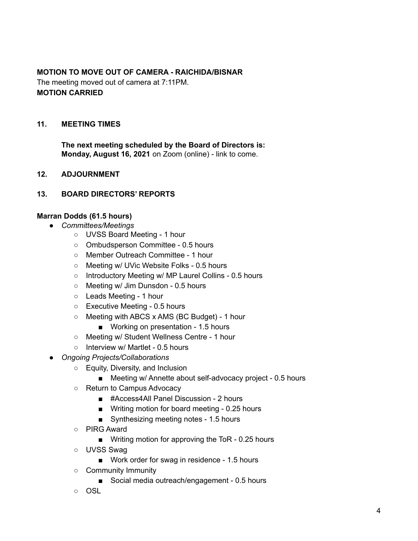### **MOTION TO MOVE OUT OF CAMERA - RAICHIDA/BISNAR** The meeting moved out of camera at 7:11PM. **MOTION CARRIED**

#### **11. MEETING TIMES**

**The next meeting scheduled by the Board of Directors is: Monday, August 16, 2021** on Zoom (online) - link to come.

#### **12. ADJOURNMENT**

### **13. BOARD DIRECTORS' REPORTS**

#### **Marran Dodds (61.5 hours)**

- *Committees/Meetings*
	- UVSS Board Meeting 1 hour
	- Ombudsperson Committee 0.5 hours
	- Member Outreach Committee 1 hour
	- Meeting w/ UVic Website Folks 0.5 hours
	- Introductory Meeting w/ MP Laurel Collins 0.5 hours
	- Meeting w/ Jim Dunsdon 0.5 hours
	- Leads Meeting 1 hour
	- Executive Meeting 0.5 hours
	- Meeting with ABCS x AMS (BC Budget) 1 hour
		- Working on presentation 1.5 hours
	- Meeting w/ Student Wellness Centre 1 hour
	- Interview w/ Martlet 0.5 hours
- *Ongoing Projects/Collaborations*
	- Equity, Diversity, and Inclusion
		- Meeting w/ Annette about self-advocacy project 0.5 hours
	- Return to Campus Advocacy
		- #Access4All Panel Discussion 2 hours
		- Writing motion for board meeting 0.25 hours
		- Synthesizing meeting notes 1.5 hours
	- PIRG Award
		- Writing motion for approving the ToR 0.25 hours
	- UVSS Swag
		- Work order for swag in residence 1.5 hours
	- Community Immunity
		- Social media outreach/engagement 0.5 hours
	- OSL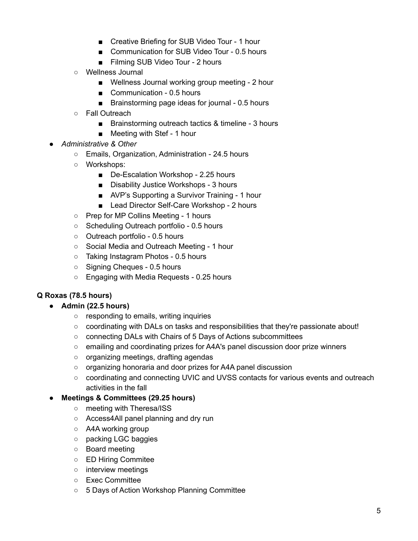- Creative Briefing for SUB Video Tour 1 hour
- Communication for SUB Video Tour 0.5 hours
- Filming SUB Video Tour 2 hours
- Wellness Journal
	- Wellness Journal working group meeting 2 hour
	- Communication 0.5 hours
	- Brainstorming page ideas for journal 0.5 hours
- Fall Outreach
	- Brainstorming outreach tactics & timeline 3 hours
	- Meeting with Stef 1 hour
- *Administrative & Other*
	- Emails, Organization, Administration 24.5 hours
	- Workshops:
		- De-Escalation Workshop 2.25 hours
		- Disability Justice Workshops 3 hours
		- AVP's Supporting a Survivor Training 1 hour
		- Lead Director Self-Care Workshop 2 hours
	- Prep for MP Collins Meeting 1 hours
	- Scheduling Outreach portfolio 0.5 hours
	- Outreach portfolio 0.5 hours
	- Social Media and Outreach Meeting 1 hour
	- Taking Instagram Photos 0.5 hours
	- Signing Cheques 0.5 hours
	- Engaging with Media Requests 0.25 hours

## **Q Roxas (78.5 hours)**

## **● Admin (22.5 hours)**

- responding to emails, writing inquiries
- $\circ$  coordinating with DALs on tasks and responsibilities that they're passionate about!
- connecting DALs with Chairs of 5 Days of Actions subcommittees
- emailing and coordinating prizes for A4A's panel discussion door prize winners
- organizing meetings, drafting agendas
- organizing honoraria and door prizes for A4A panel discussion
- coordinating and connecting UVIC and UVSS contacts for various events and outreach activities in the fall

#### **● Meetings & Committees (29.25 hours)**

- o meeting with Theresa/ISS
- Access4All panel planning and dry run
- A4A working group
- packing LGC baggies
- Board meeting
- ED Hiring Commitee
- interview meetings
- Exec Committee
- 5 Days of Action Workshop Planning Committee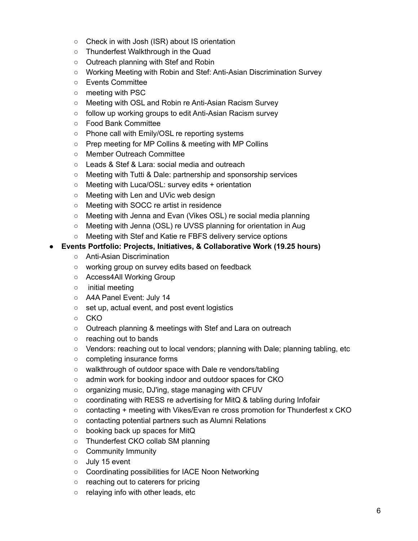- Check in with Josh (ISR) about IS orientation
- Thunderfest Walkthrough in the Quad
- Outreach planning with Stef and Robin
- Working Meeting with Robin and Stef: Anti-Asian Discrimination Survey
- Events Committee
- meeting with PSC
- Meeting with OSL and Robin re Anti-Asian Racism Survey
- follow up working groups to edit Anti-Asian Racism survey
- Food Bank Committee
- Phone call with Emily/OSL re reporting systems
- Prep meeting for MP Collins & meeting with MP Collins
- Member Outreach Committee
- Leads & Stef & Lara: social media and outreach
- Meeting with Tutti & Dale: partnership and sponsorship services
- Meeting with Luca/OSL: survey edits + orientation
- Meeting with Len and UVic web design
- Meeting with SOCC re artist in residence
- Meeting with Jenna and Evan (Vikes OSL) re social media planning
- Meeting with Jenna (OSL) re UVSS planning for orientation in Aug
- Meeting with Stef and Katie re FBFS delivery service options

### **● Events Portfolio: Projects, Initiatives, & Collaborative Work (19.25 hours)**

- Anti-Asian Discrimination
- working group on survey edits based on feedback
- Access4All Working Group
- initial meeting
- A4A Panel Event: July 14
- set up, actual event, and post event logistics
- CKO
- Outreach planning & meetings with Stef and Lara on outreach
- reaching out to bands
- Vendors: reaching out to local vendors; planning with Dale; planning tabling, etc
- completing insurance forms
- walkthrough of outdoor space with Dale re vendors/tabling
- admin work for booking indoor and outdoor spaces for CKO
- organizing music, DJ'ing, stage managing with CFUV
- coordinating with RESS re advertising for MitQ & tabling during Infofair
- contacting + meeting with Vikes/Evan re cross promotion for Thunderfest x CKO
- contacting potential partners such as Alumni Relations
- booking back up spaces for MitQ
- Thunderfest CKO collab SM planning
- Community Immunity
- July 15 event
- Coordinating possibilities for IACE Noon Networking
- reaching out to caterers for pricing
- relaying info with other leads, etc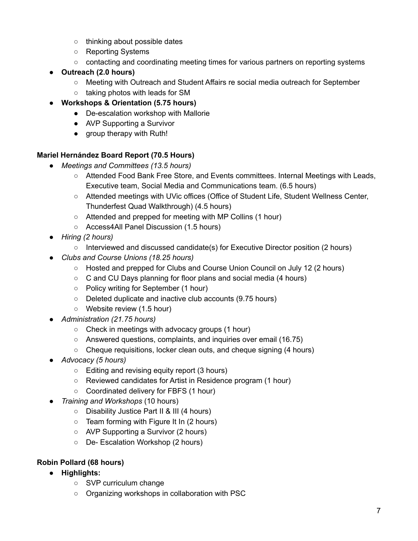- thinking about possible dates
- Reporting Systems
- contacting and coordinating meeting times for various partners on reporting systems
- **● Outreach (2.0 hours)**
	- Meeting with Outreach and Student Affairs re social media outreach for September
- taking photos with leads for SM **● Workshops & Orientation (5.75 hours)**
	- De-escalation workshop with Mallorie
	- AVP Supporting a Survivor
	- group therapy with Ruth!

# **Mariel Hernández Board Report (70.5 Hours)**

- *● Meetings and Committees (13.5 hours)*
	- Attended Food Bank Free Store, and Events committees. Internal Meetings with Leads, Executive team, Social Media and Communications team. (6.5 hours)
	- Attended meetings with UVic offices (Office of Student Life, Student Wellness Center, Thunderfest Quad Walkthrough) (4.5 hours)
	- Attended and prepped for meeting with MP Collins (1 hour)
	- Access4All Panel Discussion (1.5 hours)
- *● Hiring (2 hours)*
	- Interviewed and discussed candidate(s) for Executive Director position (2 hours)
- *● Clubs and Course Unions (18.25 hours)*
	- Hosted and prepped for Clubs and Course Union Council on July 12 (2 hours)
	- C and CU Days planning for floor plans and social media (4 hours)
	- Policy writing for September (1 hour)
	- Deleted duplicate and inactive club accounts (9.75 hours)
	- Website review (1.5 hour)
- *● Administration (21.75 hours)*
	- Check in meetings with advocacy groups (1 hour)
	- Answered questions, complaints, and inquiries over email (16.75)
	- Cheque requisitions, locker clean outs, and cheque signing (4 hours)
- *● Advocacy (5 hours)*
	- Editing and revising equity report (3 hours)
	- Reviewed candidates for Artist in Residence program (1 hour)
	- Coordinated delivery for FBFS (1 hour)
- *Training and Workshops* (10 hours)
	- Disability Justice Part II & III (4 hours)
	- Team forming with Figure It In (2 hours)
	- AVP Supporting a Survivor (2 hours)
	- De- Escalation Workshop (2 hours)

# **Robin Pollard (68 hours)**

- **● Highlights:**
	- SVP curriculum change
	- Organizing workshops in collaboration with PSC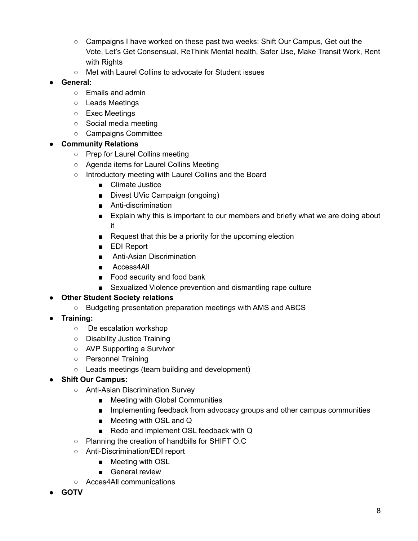- Campaigns I have worked on these past two weeks: Shift Our Campus, Get out the Vote, Let's Get Consensual, ReThink Mental health, Safer Use, Make Transit Work, Rent with Rights
- Met with Laurel Collins to advocate for Student issues
- **● General:**
	- Emails and admin
	- Leads Meetings
	- Exec Meetings
	- Social media meeting
	- Campaigns Committee

## **● Community Relations**

- Prep for Laurel Collins meeting
- Agenda items for Laurel Collins Meeting
- Introductory meeting with Laurel Collins and the Board
	- Climate Justice
	- Divest UVic Campaign (ongoing)
	- Anti-discrimination
	- Explain why this is important to our members and briefly what we are doing about it
	- Request that this be a priority for the upcoming election
	- EDI Report
	- Anti-Asian Discrimination
	- Access4All
	- Food security and food bank
	- Sexualized Violence prevention and dismantling rape culture

## **● Other Student Society relations**

- Budgeting presentation preparation meetings with AMS and ABCS
- **● Training:**
	- De escalation workshop
	- Disability Justice Training
	- AVP Supporting a Survivor
	- Personnel Training
	- Leads meetings (team building and development)

## **● Shift Our Campus:**

- Anti-Asian Discrimination Survey
	- Meeting with Global Communities
	- Implementing feedback from advocacy groups and other campus communities
	- Meeting with OSL and Q
	- Redo and implement OSL feedback with Q
- Planning the creation of handbills for SHIFT O.C
- Anti-Discrimination/EDI report
	- Meeting with OSL
	- General review
- Acces4All communications
- **● GOTV**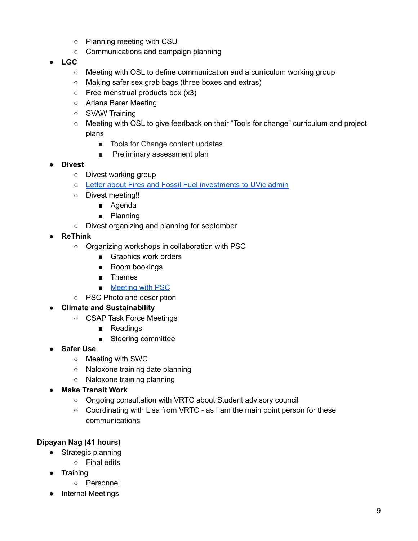- Planning meeting with CSU
- Communications and campaign planning
- **● LGC**
	- Meeting with OSL to define communication and a curriculum working group
	- Making safer sex grab bags (three boxes and extras)
	- $\circ$  Free menstrual products box (x3)
	- Ariana Barer Meeting
	- SVAW Training
	- Meeting with OSL to give feedback on their "Tools for change" curriculum and project plans
		- Tools for Change content updates
		- Preliminary assessment plan
- **● Divest**
	- Divest working group
	- Letter about Fires and Fossil Fuel [investments](https://docs.google.com/document/d/1sKSuTKNleFY8K6QopLRVjNe7UIF0g7tImiaTWg9m-Os/edit?fbclid=IwAR0OiF3J2Uq0XSokAftJG-bA5xuj9w1qWBEaVINMNjsWLQr1rMTvSLOIHpg) to UVic admin
	- Divest meeting!!
		- Agenda
		- Planning
	- Divest organizing and planning for september
- **● ReThink**
	- Organizing workshops in collaboration with PSC
		- Graphics work orders
		- Room bookings
		- Themes
		- [Meeting](https://docs.google.com/document/d/1ZyMh4Xo0C70GQfLH08R6j4hKT8yVOcCHElZmndXLwKg/edit) with PSC
	- PSC Photo and description
- **● Climate and Sustainability**
	- CSAP Task Force Meetings
		- Readings
		- Steering committee
- **● Safer Use**
	- Meeting with SWC
	- Naloxone training date planning
	- Naloxone training planning
- **● Make Transit Work**
	- Ongoing consultation with VRTC about Student advisory council
	- Coordinating with Lisa from VRTC as I am the main point person for these communications

## **Dipayan Nag (41 hours)**

- Strategic planning
	- Final edits
- Training
	- Personnel
- Internal Meetings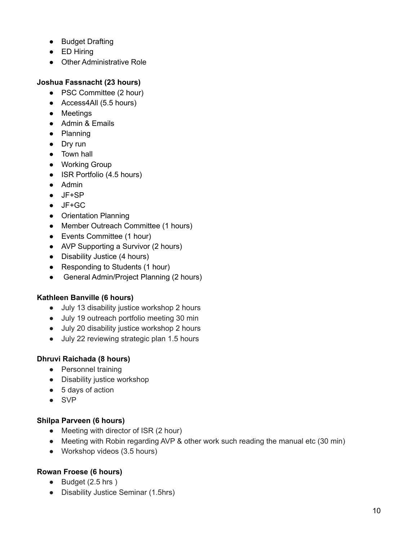- Budget Drafting
- ED Hiring
- Other Administrative Role

## **Joshua Fassnacht (23 hours)**

- PSC Committee (2 hour)
- Access4All (5.5 hours)
- Meetings
- Admin & Emails
- Planning
- Dry run
- Town hall
- Working Group
- ISR Portfolio (4.5 hours)
- Admin
- JF+SP
- JF+GC
- Orientation Planning
- Member Outreach Committee (1 hours)
- Events Committee (1 hour)
- AVP Supporting a Survivor (2 hours)
- Disability Justice (4 hours)
- Responding to Students (1 hour)
- General Admin/Project Planning (2 hours)

## **Kathleen Banville (6 hours)**

- July 13 disability justice workshop 2 hours
- July 19 outreach portfolio meeting 30 min
- July 20 disability justice workshop 2 hours
- July 22 reviewing strategic plan 1.5 hours

# **Dhruvi Raichada (8 hours)**

- Personnel training
- Disability justice workshop
- 5 days of action
- SVP

## **Shilpa Parveen (6 hours)**

- Meeting with director of ISR (2 hour)
- Meeting with Robin regarding AVP & other work such reading the manual etc (30 min)
- Workshop videos (3.5 hours)

# **Rowan Froese (6 hours)**

- Budget (2.5 hrs)
- Disability Justice Seminar (1.5hrs)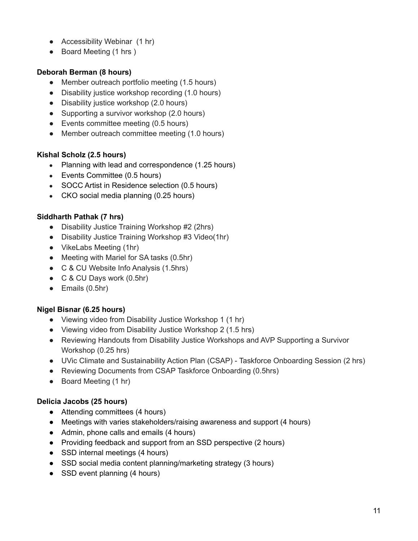- Accessibility Webinar (1 hr)
- Board Meeting (1 hrs)

# **Deborah Berman (8 hours)**

- Member outreach portfolio meeting (1.5 hours)
- Disability justice workshop recording (1.0 hours)
- Disability justice workshop (2.0 hours)
- Supporting a survivor workshop (2.0 hours)
- Events committee meeting (0.5 hours)
- Member outreach committee meeting (1.0 hours)

## **Kishal Scholz (2.5 hours)**

- Planning with lead and correspondence (1.25 hours)
- Events Committee (0.5 hours)
- SOCC Artist in Residence selection (0.5 hours)
- CKO social media planning (0.25 hours)

## **Siddharth Pathak (7 hrs)**

- Disability Justice Training Workshop #2 (2hrs)
- Disability Justice Training Workshop #3 Video(1hr)
- VikeLabs Meeting (1hr)
- Meeting with Mariel for SA tasks (0.5hr)
- C & CU Website Info Analysis (1.5hrs)
- C & CU Days work (0.5hr)
- Emails (0.5hr)

## **Nigel Bisnar (6.25 hours)**

- Viewing video from Disability Justice Workshop 1 (1 hr)
- Viewing video from Disability Justice Workshop 2 (1.5 hrs)
- Reviewing Handouts from Disability Justice Workshops and AVP Supporting a Survivor Workshop (0.25 hrs)
- UVic Climate and Sustainability Action Plan (CSAP) Taskforce Onboarding Session (2 hrs)
- Reviewing Documents from CSAP Taskforce Onboarding (0.5hrs)
- Board Meeting (1 hr)

## **Delicia Jacobs (25 hours)**

- Attending committees (4 hours)
- Meetings with varies stakeholders/raising awareness and support (4 hours)
- Admin, phone calls and emails (4 hours)
- Providing feedback and support from an SSD perspective (2 hours)
- SSD internal meetings (4 hours)
- SSD social media content planning/marketing strategy (3 hours)
- SSD event planning (4 hours)